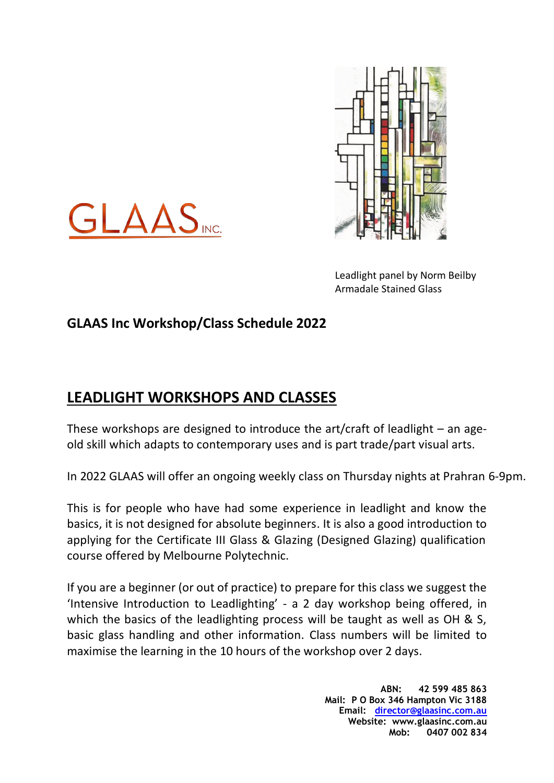



Leadlight panel by Norm Beilby Armadale Stained Glass

## **GLAAS Inc Workshop/Class Schedule 2022**

## **LEADLIGHT WORKSHOPS AND CLASSES**

These workshops are designed to introduce the art/craft of leadlight – an ageold skill which adapts to contemporary uses and is part trade/part visual arts.

In 2022 GLAAS will offer an ongoing weekly class on Thursday nights at Prahran 6-9pm.

This is for people who have had some experience in leadlight and know the basics, it is not designed for absolute beginners. It is also a good introduction to applying for the Certificate III Glass & Glazing (Designed Glazing) qualification course offered by Melbourne Polytechnic.

If you are a beginner (or out of practice) to prepare for this class we suggest the 'Intensive Introduction to Leadlighting' - a 2 day workshop being offered, in which the basics of the leadlighting process will be taught as well as OH & S, basic glass handling and other information. Class numbers will be limited to maximise the learning in the 10 hours of the workshop over 2 days.